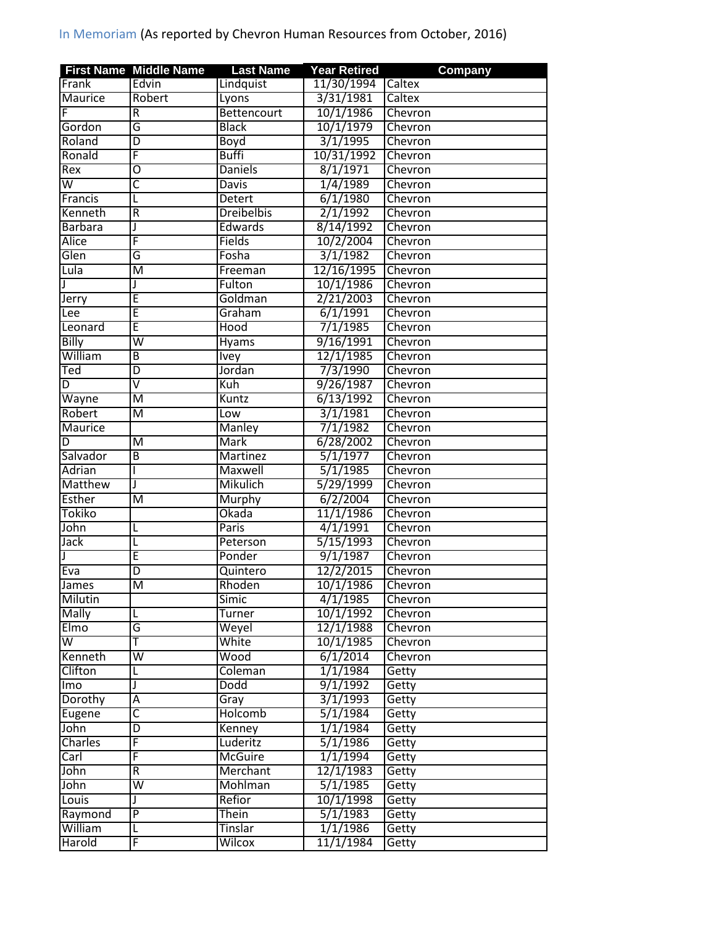|                           | <b>First Name Middle Name</b> | <b>Last Name</b>       | <b>Year Retired</b>          | <b>Company</b> |
|---------------------------|-------------------------------|------------------------|------------------------------|----------------|
| Frank                     | Edvin                         | Lindquist              | 11/30/1994                   | Caltex         |
| Maurice                   | Robert                        | Lyons                  | 3/31/1981                    | Caltex         |
|                           | R                             | Bettencourt            | 10/1/1986                    | Chevron        |
| Gordon                    | G                             | <b>Black</b>           | 10/1/1979                    | Chevron        |
| Roland                    | $\overline{D}$                | Boyd                   | 3/1/1995                     | Chevron        |
| Ronald                    | F                             | <b>Buffi</b>           | 10/31/1992                   | Chevron        |
| Rex                       | $\overline{0}$                | <b>Daniels</b>         | 8/1/1971                     | Chevron        |
| $\overline{\mathsf{w}}$   | $\overline{\mathsf{c}}$       | <b>Davis</b>           | 1/4/1989                     | Chevron        |
| Francis                   | L                             | <b>Detert</b>          | 6/1/1980                     | Chevron        |
| Kenneth                   | $\overline{\mathsf{R}}$       | <b>Dreibelbis</b>      | 2/1/1992                     | Chevron        |
| <b>Barbara</b>            | J                             | <b>Edwards</b>         | 8/14/1992                    | Chevron        |
| Alice                     | F                             | <b>Fields</b>          | 10/2/2004                    | Chevron        |
| Glen                      | G                             | Fosha                  | 3/1/1982                     | Chevron        |
| Lula                      | M                             | Freeman                | 12/16/1995                   | Chevron        |
|                           | J                             | Fulton                 | 10/1/1986                    | Chevron        |
| Jerry                     | Ē                             | Goldman                | 2/21/2003                    | Chevron        |
| Lee                       | Ē                             | Graham                 | 6/1/1991                     | Chevron        |
| Leonard                   | Ē                             | Hood                   | 7/1/1985                     | Chevron        |
| <b>Billy</b>              | $\overline{\mathsf{W}}$       | Hyams                  | 9/16/1991                    | Chevron        |
| William                   | B                             | <b>Ivey</b>            | 12/1/1985                    | Chevron        |
| $\overline{\mathsf{Ted}}$ | $\overline{\mathsf{D}}$       | Jordan                 | 7/3/1990                     | Chevron        |
| D                         | $\overline{\mathsf{v}}$       | Kuh                    | 9/26/1987                    | Chevron        |
| Wayne                     | M                             | Kuntz                  | 6/13/1992                    | Chevron        |
| Robert                    | $\overline{\mathsf{M}}$       | Low                    | 3/1/1981                     | Chevron        |
| <b>Maurice</b>            |                               | Manley                 | 7/1/1982                     | Chevron        |
| D                         | M                             | <b>Mark</b>            | 6/28/2002                    | Chevron        |
| Salvador                  | $\overline{B}$                | Martinez               | 5/1/1977                     | Chevron        |
| Adrian                    |                               | Maxwell                | 5/1/1985                     | Chevron        |
| Matthew                   | J                             | Mikulich               | 5/29/1999                    | Chevron        |
| <b>Esther</b>             | M                             | Murphy                 | 6/2/2004                     | Chevron        |
| Tokiko                    |                               | Okada                  | 11/1/1986                    | Chevron        |
| John                      | L                             | <b>Paris</b>           | 4/1/1991                     | Chevron        |
| <b>Jack</b>               | L                             | Peterson               | 5/15/1993                    | Chevron        |
|                           | Ε                             | Ponder                 | 9/1/1987                     | Chevron        |
| Eva                       | D                             | Quintero               | 12/2/2015                    | Chevron        |
| James                     | $\overline{\mathsf{M}}$       |                        |                              | Chevron        |
| Milutin                   |                               | Rhoden<br><b>Simic</b> | 10/1/1986<br>4/1/1985        | Chevron        |
| <b>Mally</b>              | L                             | <b>Turner</b>          | 10/1/1992                    | Chevron        |
| Elmo                      | G                             | Weyel                  | 12/1/1988                    | Chevron        |
| W                         | T                             |                        |                              |                |
| Kenneth                   | $\overline{\mathsf{w}}$       | White                  | 10/1/1985                    | Chevron        |
| Clifton                   |                               | Wood                   | 6/1/2014                     | Chevron        |
|                           |                               | Coleman                | 1/1/1984                     | Getty          |
| lmo                       | J                             | Dodd                   | 9/1/1992                     | Getty          |
| Dorothy                   | Ā                             | Gray                   | 3/1/1993                     | Getty          |
| Eugene                    | $\overline{\mathsf{c}}$       | Holcomb                | 5/1/1984                     | Getty          |
| John                      | $\overline{D}$                | Kenney                 | 1/1/1984                     | Getty          |
| Charles                   | F                             | Luderitz               | 5/1/1986                     | Getty          |
| Carl                      | F                             | <b>McGuire</b>         | 1/1/1994                     | Getty          |
| John                      | $\overline{R}$                | Merchant               | 12/1/1983                    | Getty          |
| John                      | $\overline{\mathsf{W}}$       | Mohlman                | 5/1/1985                     | Getty          |
| Louis                     | J                             | Refior                 | 10/1/1998                    | Getty          |
| Raymond                   | $\overline{P}$                | <b>Thein</b>           | $\frac{1}{5}/\frac{1}{1983}$ | Getty          |
| William                   | L                             | Tinslar                | 1/1/1986                     | Getty          |
| Harold                    | F                             | Wilcox                 | 11/1/1984                    | Getty          |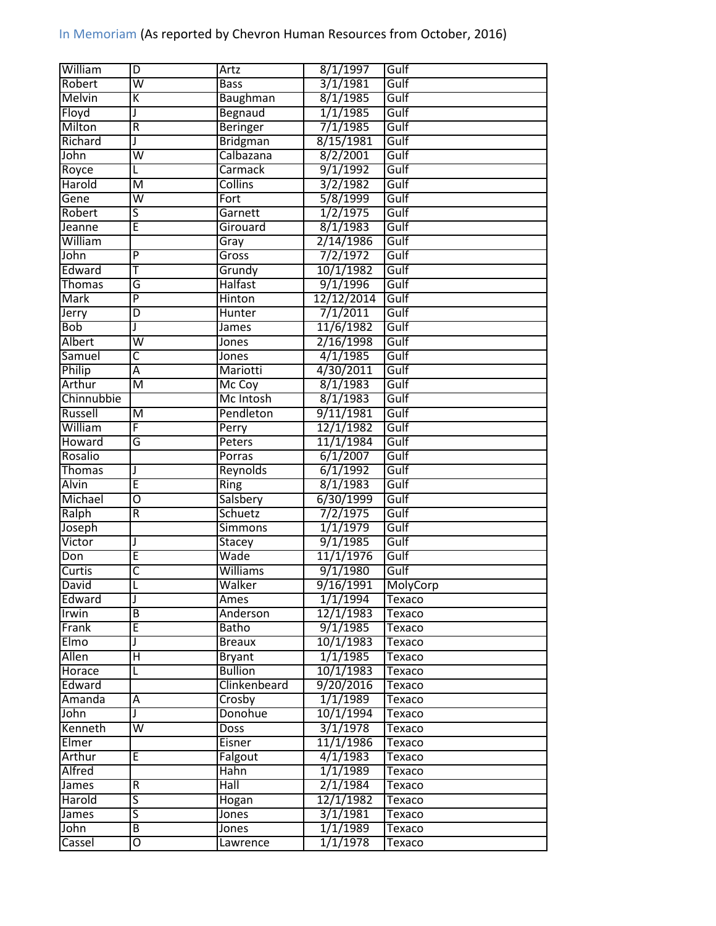| William       | D                       | Artz            | 8/1/1997   | Gulf     |
|---------------|-------------------------|-----------------|------------|----------|
| Robert        | $\overline{\mathsf{w}}$ | <b>Bass</b>     | 3/1/1981   | Gulf     |
| <b>Melvin</b> | K                       | Baughman        | 8/1/1985   | Gulf     |
| Floyd         | J                       | Begnaud         | 1/1/1985   | Gulf     |
| Milton        | $\overline{R}$          | <b>Beringer</b> | 7/1/1985   | Gulf     |
| Richard       | J                       | <b>Bridgman</b> | 8/15/1981  | Gulf     |
| John          | $\overline{\mathsf{w}}$ | Calbazana       | 8/2/2001   | Gulf     |
| Royce         | Г                       | <b>Carmack</b>  | 9/1/1992   | Gulf     |
| Harold        | M                       | Collins         | 3/2/1982   | Gulf     |
| Gene          | $\overline{\mathsf{W}}$ | Fort            | 5/8/1999   | Gulf     |
| Robert        | $\overline{\mathsf{s}}$ | Garnett         | 1/2/1975   | Gulf     |
| Jeanne        | Ē                       | Girouard        | 8/1/1983   | Gulf     |
| William       |                         | Gray            | 2/14/1986  | Gulf     |
| John          | $\overline{P}$          | Gross           | 7/2/1972   | Gulf     |
| Edward        | T                       | Grundy          | 10/1/1982  | Gulf     |
| <b>Thomas</b> | G                       | <b>Halfast</b>  | 9/1/1996   | Gulf     |
| <b>Mark</b>   | $\overline{\mathsf{P}}$ | Hinton          | 12/12/2014 | Gulf     |
| Jerry         | D                       | <b>Hunter</b>   | 7/1/2011   | Gulf     |
| <b>Bob</b>    | J                       | <b>James</b>    | 11/6/1982  | Gulf     |
| Albert        | $\overline{\mathsf{w}}$ |                 | 2/16/1998  | Gulf     |
|               | C                       | Jones           | 4/1/1985   | Gulf     |
| Samuel        |                         | Jones           |            |          |
| Philip        | Ā                       | Mariotti        | 4/30/2011  | Gulf     |
| Arthur        | $\overline{M}$          | Mc Coy          | 8/1/1983   | Gulf     |
| Chinnubbie    |                         | Mc Intosh       | 8/1/1983   | Gulf     |
| Russell       | M                       | Pendleton       | 9/11/1981  | Gulf     |
| William       | F                       | Perry           | 12/1/1982  | Gulf     |
| Howard        | G                       | Peters          | 11/1/1984  | Gulf     |
| Rosalio       |                         | Porras          | 6/1/2007   | Gulf     |
| <b>Thomas</b> | J                       | Reynolds        | 6/1/1992   | Gulf     |
| <b>Alvin</b>  | Ē                       | Ring            | 8/1/1983   | Gulf     |
| Michael       | $\overline{\mathrm{o}}$ | Salsbery        | 6/30/1999  | Gulf     |
| Ralph         | R                       | Schuetz         | 7/2/1975   | Gulf     |
| Joseph        |                         | <b>Simmons</b>  | 1/1/1979   | Gulf     |
| Victor        | J                       | Stacey          | 9/1/1985   | Gulf     |
| Don           | Ē                       | Wade            | 11/1/1976  | Gulf     |
| Curtis        | $\overline{\mathsf{c}}$ | <b>Williams</b> | 9/1/1980   | Gulf     |
| <b>David</b>  | ı                       | Walker          | 9/16/1991  | MolyCorp |
| Edward        | J                       | Ames            | 1/1/1994   | Texaco   |
| Irwin         | $\overline{B}$          | Anderson        | 12/1/1983  | Texaco   |
| Frank         | Έ                       | Batho           | 9/1/1985   | Texaco   |
| Elmo          | J                       | <b>Breaux</b>   | 10/1/1983  | Texaco   |
| Allen         | $\overline{H}$          | <b>Bryant</b>   | 1/1/1985   | Texaco   |
| Horace        |                         | <b>Bullion</b>  | 10/1/1983  | Texaco   |
| Edward        |                         | Clinkenbeard    | 9/20/2016  | Texaco   |
| Amanda        | А                       | Crosby          | 1/1/1989   | Texaco   |
| John          | J                       | Donohue         | 10/1/1994  | Texaco   |
| Kenneth       | $\overline{\mathsf{W}}$ | Doss            | 3/1/1978   | Texaco   |
| Elmer         |                         | Eisner          | 11/1/1986  | Texaco   |
| Arthur        | Ε                       | Falgout         | 4/1/1983   | Texaco   |
| Alfred        |                         | Hahn            | 1/1/1989   | Texaco   |
| James         | ${\sf R}$               | Hall            | 2/1/1984   | Texaco   |
| Harold        | 5                       | Hogan           | 12/1/1982  | Texaco   |
| James         | $\overline{\mathsf{S}}$ | Jones           | 3/1/1981   | Texaco   |
| John          | $\overline{B}$          | Jones           | 1/1/1989   | Texaco   |
| Cassel        | Ō                       | Lawrence        | 1/1/1978   | Texaco   |
|               |                         |                 |            |          |